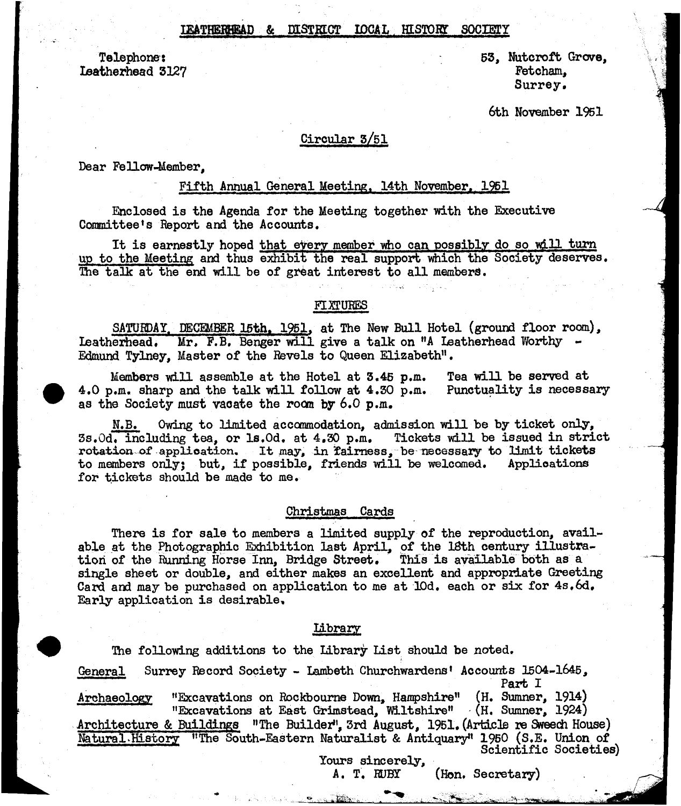## IEATHERHEAD & DISTRICT IDCAL HISTORY SOCIETY

Ieatherhead 3127

Telephone: 53, Nutcroft Grove, 53, Nutcroft Grove, 53, Nutcroft Grove, 53, Nutcroft Grove, 53, Nutcroft Grove,  $\frac{1}{2}$ Surrey.

6th November 1951

## Circular 3/51

### Dear Fellow-Member.

### Fifth Annual General Meeting. 14th November. 1951

Enclosed is the Agenda for the Meeting together with the Executive Committee's Report and the Accounts.

It is earnestly hoped that every member who can possibly do so will turn up to the Meeting and thus exhibit the real support which the Society deserves. The talk at the end will be of great interest to all members.

## FIXTURES

SATURDAY. DECEMBER 15th. 1951. at The New Bull Hotel (ground floor room), Leatherhead, Mr, F.B, Benger will give a talk on "A Leatherhead Worthy - Edmund Tylney, Master of the Revels to Queen Elizabeth".

Members will assemble at the Hotel at 3.45 p.m. Tea will be served at  $\ldots$  m. sharp and the talk will follow at 4.30 p.m. Punctuality is necessary 4.0 p.m. sharp and the talk will follow at 4.30 p.m. as the Society must vacate the room by 6.0 p.m.

N.B. Owing to limited accommodation, admission will be by ticket only, 3s.Od. including tea, or ls.Od. at 4.30 p.m. Tickets vdll be issued in strict rotation of application. It may, in fairness, be necessary to limit tickets to members only? but, if possible, friends will be welcomed. Applications for tickets should be made to me.

## Christmas Cards

There is for sale to members a limited supply of the reproduction, available at the Photographio Exhibition last April, of the 18th century illustration of the Running Horse Inn, Bridge Street. This is available both as a single sheet or double, and either makes an excellent and appropriate Greeting Card and may be purchased on application to me at 10d. each or six for 4s.6d. Early application is desirable,

## library

The following additions to the library List should be noted. General Surrey Record Society - Lambeth Churchwardens<sup>t</sup> Accounts 1504-1645, Part I Archaeology "Excavations on Rockbourne Down, Hampshire" (H. Sumner, 1914) "Excavations at East Grimstead, Wiltshire" (H. Sumner, 1924)

Architecture & Buildings "The Builder", 3rd August, 1951. (Article re Sweedh House) Natural History "The South-Eastern Naturalist & Antiquary4' 1950 (S.E. Union of Scientific Societies)

Yours sincerely,<br>A. T. RUBY

(Hon. Secretary)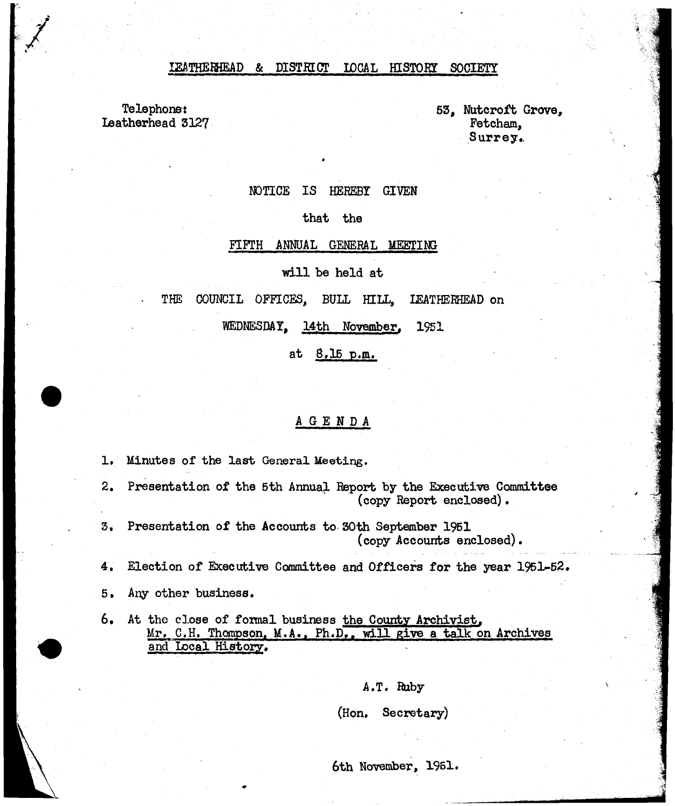#### IEATHEKHEAD & DISTKECT LOCAL HISTORY SOCIETY

Telephone: Leatherhead 3127 53, Nutcroft Grove, Fetcham, Surrey.

## NOTICE IS HEREBY GIVEN

that the

#### FIFTH ANNUAL GENERAL MEETING

will be held at

THE COUNCIL OFFICES, BULL HILL, IEATHERHEAD on

WEDNESDAY, 14th November, 1951

at 8,15 p.m.

## AGENDA

1. Minutes of the last General Meeting.

- 2. Presentation of the 5th Annual. Report by the Executive Committee (copy Report enclosed).
- 3, Presentation of the Accounts to 30th September 1951 (copy Accounts enclosed).
- 4, Election of Executive Committee and Officers for the year 1951-52.
- 5, Any other business.
- 6. At the close of formal business the County Archivist. Mr. C.H. Thompson. M.A.. Ph.D.. will give a talk on Archives and Local History.

A.T. Ruby

(Hon. Secretary)

6th November, 1961.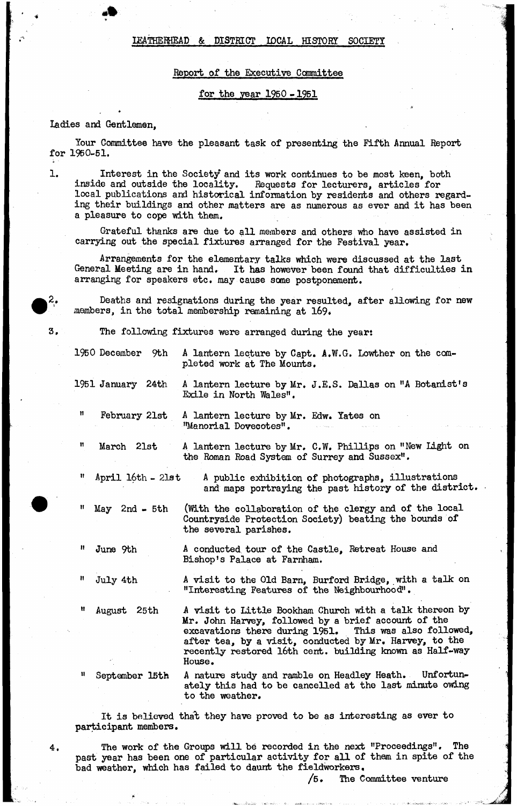## LEA THE MEAD & DISTRICT IDCAL HISTORY SOCIETY

## Report of the Executive Committee

#### for the year 1950 -1951

#### ladies and Gentlemen,

Your Committee have the pleasant task of presenting the Fifth Annual Report for 1950-51.

1.

**2 .**

3,

4.

Interest in the Society and its work continues to be most keen, both inside and outside the locality. Requests for lecturers, articles for Requests for lecturers, articles for local publications and historical information by residents and others regarding their buildings and other matters are as numerous as ever and it has been a pleasure to cope with them.

Grateful thanks are due to all members and others who have assisted in carrying out the special fixtures arranged for the Festival year.

Arrangements for the elementary talks which were discussed at the last General Meeting are in hand. It has however been found that difficulties in arranging for speakers etc. may cause some postponement.

Deaths and resignations during the year resulted, after allowing for new members, in the total membership remaining at 169*\**

The following fixtures were arranged during the year:

1950 December 9th A lantern lecture by Capt. A.W.G. Lowther on the completed work at The Mounts.

1951 January 24th A lantern lecture by Mr. J.E.S. Dallas on "A Botanist's Exile in North Wales".

" February 21st A lantern lecture by Mr. Edw. Yates on "Manorial Dovecotes".

" March 21st A lantern lecture by Mr, C.W, Phillips on "New Light on the Roman Road System of Surrey and Sussex".

April 16th - 21st

A public exhibition of photographs, illustrations^ and maps portraying the past history of the district.

 $May 2nd - 5th$ 

(With the collaboration of the clergy and of the local Countryside Protection Society) beating the bounds of the several parishes,

A conducted tour of the Castle, Retreat House and Bishop's Palace at Farriham.

"Interesting Features of the Neighbourhood".

July 4th

June 9th

August 25th

A visit to Little Bookham Church with a talk thereon by Mr. John Harvey, followed by a brief account of the excavations there during 1951. This was also followed, excavations there during 1951. after tea, by a visit, conducted by Mr» Harvey, to the recently restored 16th cent, building known as Half-way

A visit to the Old Barn, Burford Bridge, with a talk on

September 15th

House.

A nature study and ramble on Headley Heath. Unfortunately this had to be cancelled at the last minute owing to the weather.

It is believed tha't they have proved to be as interesting as ever to participant members.

The work of the Groups will be recorded in the next "Proceedings". The past year has been one of particular activity for all of them in spite of the bad weather, which has failed to daunt the fieldworkers,

/5, The Committee venture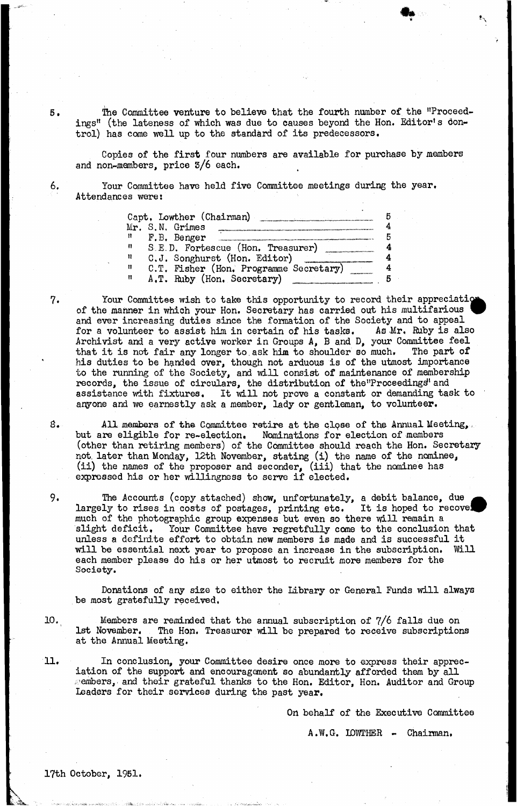5. The Committee venture to believe that the fourth number of the "Proceedings" (the lateness of which was due to causes beyond the Hon. Editor's dontrol) has come well up to the standard of its predecessors.

Copies of the first four numbers are available for purchase by members and non-members, price 3/6 each.

6. lour Committee have held five Committee meetings during the year. Attendances were!

|   | Capt, Lowther (Chairman)               |  |
|---|----------------------------------------|--|
|   | Mr. S.N. Grimes                        |  |
| n | F.B. Benger                            |  |
| n | S.E.D. Fortescue (Hon. Treasurer)      |  |
| Ħ | C.J. Songhurst (Hon. Editor)           |  |
| Ħ | C.T. Fisher (Hon. Programme Secretary) |  |
| Ħ | A.T. Ruby (Hon. Secretary)             |  |

7. Your Committee wish to take this opportunity to record their appreciation of the manner in which your Hon. Secretary has carried out his multifarious and ever increasing duties since the formation of the Society and to appeal for a volunteer to assist him in certain of his tasks. As Mr. Ruby is also Archivist and a very active worker in Groups  $A$ ,  $B$  and  $D$ , your Committee feel that it is not fair any longer to ask him to shoulder so much. The part of that it is not fair any longer to ask him to shoulder so much. his duties to be handed over, though not arduous is of the utmost importance to the running of the Society, and will consist of maintenance of membership records, the issue of circulars, the distribution of the Proceedings' and assistance with fixtures. It will not prove a constant or demanding task to anyone and we earnestly ask a member, lady or gentleman, to volunteer.

- *8,* All members of the Committee retire at the clqse of the Annual Meeting,, but are eligible for re-election. Nominations for election of members (other than retiring members) of the Committee should reach the Hon. Secretary not. later than Monday, 12th November, stating (i) the name of the nominee, (ii) the names of the proposer and seconder, (iii) that the nominee has expressed his or her willingness to serve if elected.
- 9, The Accounts (copy attached) show, unfortunately, a debit balance, due largely to rises in costs of postages, printing etc. It is hoped to recove much of the photographic group expenses but even so there will remain a slight deficit. Your Committee have regretfully come to the conclusion Your Committee have regretfully come to the conclusion that unless a definite effort to obtain new members is made and is successful it will be essential next year to propose an increase in the subscription, Will each member please do his or her utmost to recruit more members for the Society.

Donations of any size to either the Library or General Funds will always be most gratefully received,

10. Members are reminded that the annual subscription of 7/6 falls due on lst November. The Hon. Treasurer will be prepared to receive subscription The Hon. Treasurer will be prepared to receive subscriptions at the Annual Meeting.

11. In conclusion, your Committee desire once more to express their appreciation of the support and encouragement so abundantly afforded them by all **Pembers, and their grateful thanks to the Hon. Editor, Hon. Auditor and Group** Leaders for their services during the past year.

On behalf of the Executive Committee

A.W.G. IDWTHER - Chairman,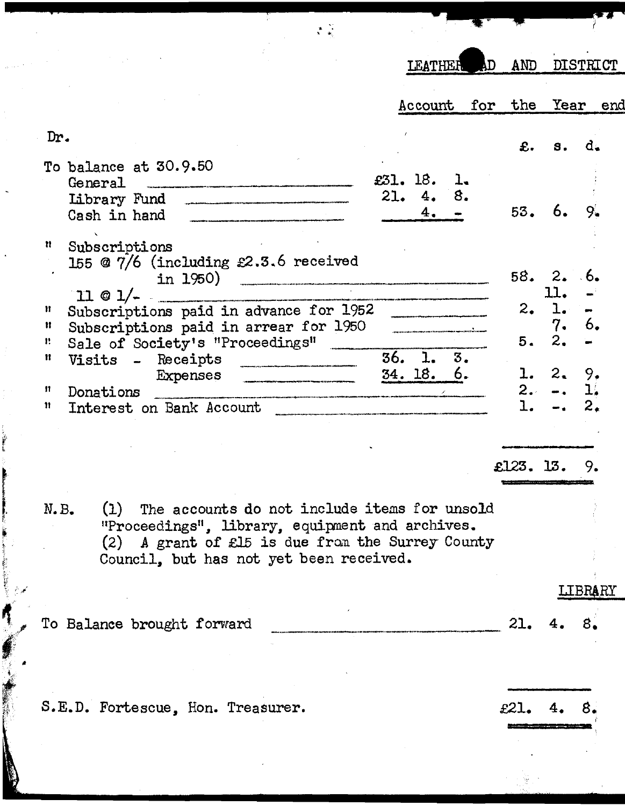| ÅD.<br>LEATHER                                                                                                                                                                                                                                                                                                                                                                                                                              | AND                  | <b>DISTRICT</b>                  |
|---------------------------------------------------------------------------------------------------------------------------------------------------------------------------------------------------------------------------------------------------------------------------------------------------------------------------------------------------------------------------------------------------------------------------------------------|----------------------|----------------------------------|
| for<br>Account                                                                                                                                                                                                                                                                                                                                                                                                                              | the                  | Year<br>end                      |
| Dr.                                                                                                                                                                                                                                                                                                                                                                                                                                         | £.                   | d.<br>s.                         |
| To balance at 30.9.50<br>£31. 18.<br>ı.<br>General<br>.<br>Taskade välimind täätyyse muodoltain ruongalitettuja vuolinen ei Meystän viimen, jopinemuussa alkoitija sintäiminen<br>8.<br>21.<br>4.<br>Library Fund<br>4.<br>Cash in hand Theorem 2014                                                                                                                                                                                        | 53.                  | 6.<br>9.                         |
| n<br>Subscriptions<br>155 @ $7/6$ (including £2.3.6 received<br>in 1950) <u>__________________________</u>                                                                                                                                                                                                                                                                                                                                  |                      | 58.2.6                           |
| $11 @ 1/-$<br>$\ldots$ . The construction of the Company of the Company of the Company of the Company of the Company of the Company of the Company of the Company of the Company of the Company of the Company of the Company of the Company o<br>Subscriptions paid in advance for 1952<br>Ħ<br>Subscriptions paid in arrear for 1950<br>Ħ<br>Sale of Society's "Proceedings"<br>Β.                                                        | 2.<br>5.             | 11.<br>1.<br>7.<br>6.<br>2.      |
| 36. 1.<br>3.<br>Ħ<br>Visits - Receipts<br>.<br>Antonina a correspondent de la companya de la correspondence de la correspondence de la correspondence de la c<br>34.18.6.<br>Expenses<br>n<br>Donations<br>.<br>In profession of the control of the control company of the control of the company of the control of the control of the control of the control of the control of the control of the control of the control of the control of | $\mathbf{1.}$<br>2.7 | 2.<br>9.<br>ı.<br>$\blacksquare$ |
| Interest on Bank Account<br>n                                                                                                                                                                                                                                                                                                                                                                                                               | ı.                   | 2.                               |
|                                                                                                                                                                                                                                                                                                                                                                                                                                             | £123. 13.            | 9.                               |
| (1) The accounts do not include items for unsold<br>N.B.<br>"Proceedings", library, equipment and archives.<br>(2) A grant of £15 is due from the Surrey County<br>Council, but has not yet been received.                                                                                                                                                                                                                                  |                      |                                  |
|                                                                                                                                                                                                                                                                                                                                                                                                                                             |                      | <b>LIBRARY</b>                   |
| To Balance brought forward                                                                                                                                                                                                                                                                                                                                                                                                                  | つつ                   |                                  |
| S.E.D. Fortescue, Hon. Treasurer.                                                                                                                                                                                                                                                                                                                                                                                                           | £21.                 | 4.                               |

**Controller of the Control** 

**CONTRACTOR**